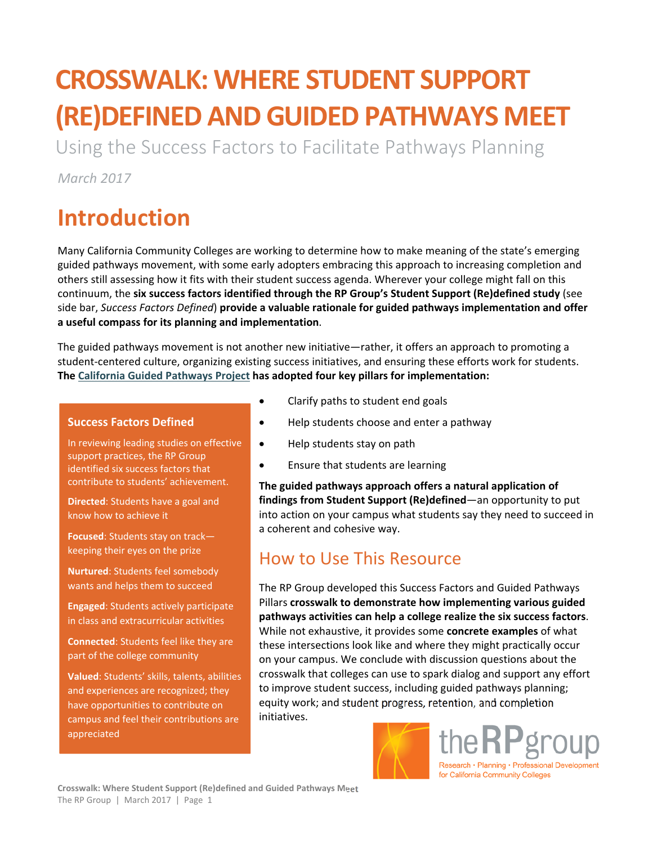# **CROSSWALK: WHERE STUDENT SUPPORT (RE)DEFINED AND GUIDED PATHWAYS MEET**

Using the Success Factors to Facilitate Pathways Planning

*March 2017* 

## **Introduction**

Many California Community Colleges are working to determine how to make meaning of the state's emerging guided pathways movement, with some early adopters embracing this approach to increasing completion and others still assessing how it fits with their student success agenda. Wherever your college might fall on this continuum, the **six success factors identified through the RP Group's Student Support (Re)defined study** (see side bar, *Success Factors Defined*) **provide a valuable rationale for guided pathways implementation and offer a useful compass for its planning and implementation**.

The guided pathways movement is not another new initiative—rather, it offers an approach to promoting a student-centered culture, organizing existing success initiatives, and ensuring these efforts work for students. **The California Guided Pathways Project has adopted four key pillars for implementation:** 

#### **Success Factors Defined**

In reviewing leading studies on effective support practices, the RP Group identified six success factors that contribute to students' achievement.

**Directed**: Students have a goal and know how to achieve it

**Focused**: Students stay on track keeping their eyes on the prize

**Nurtured**: Students feel somebody wants and helps them to succeed

**Engaged**: Students actively participate in class and extracurricular activities

**Connected**: Students feel like they are part of the college community

**Valued**: Students' skills, talents, abilities and experiences are recognized; they have opportunities to contribute on campus and feel their contributions are appreciated

- Clarify paths to student end goals
- Help students choose and enter a pathway
- Help students stay on path
- Ensure that students are learning

**The guided pathways approach offers a natural application of findings from Student Support (Re)defined**—an opportunity to put into action on your campus what students say they need to succeed in a coherent and cohesive way.

### How to Use This Resource

The RP Group developed this Success Factors and Guided Pathways Pillars **crosswalk to demonstrate how implementing various guided pathways activities can help a college realize the six success factors**. While not exhaustive, it provides some **concrete examples** of what these intersections look like and where they might practically occur on your campus. We conclude with discussion questions about the crosswalk that colleges can use to spark dialog and support any effort to improve student success, including guided pathways planning; equity work; and student progress, retention, and completion initiatives.



the RP group Research • Planning • Professional Development for California Community Colleges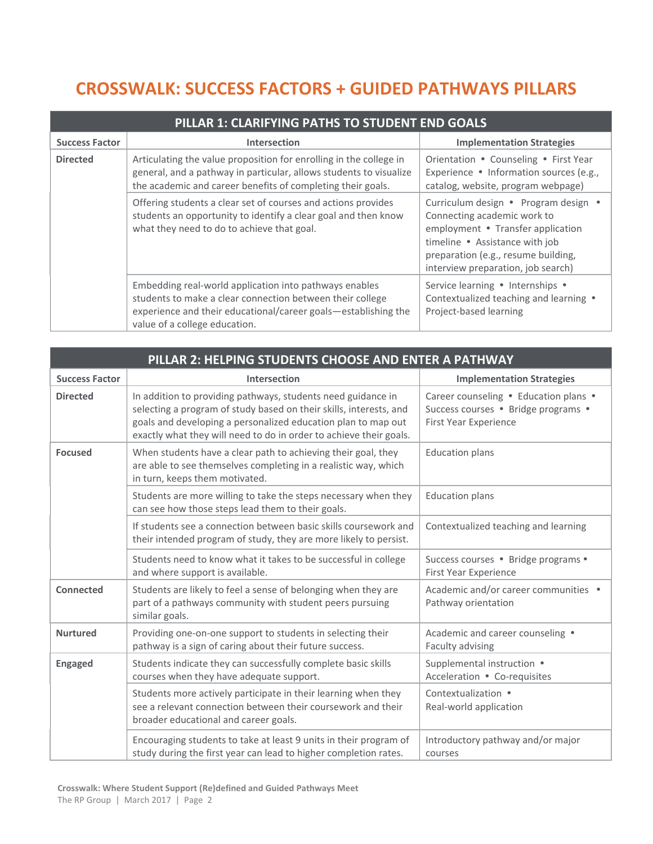### **CROSSWALK: SUCCESS FACTORS + GUIDED PATHWAYS PILLARS**

| PILLAR 1: CLARIFYING PATHS TO STUDENT END GOALS |                                                                                                                                                                                                                        |                                                                                                                                                                                                                         |  |
|-------------------------------------------------|------------------------------------------------------------------------------------------------------------------------------------------------------------------------------------------------------------------------|-------------------------------------------------------------------------------------------------------------------------------------------------------------------------------------------------------------------------|--|
| <b>Success Factor</b>                           | <b>Intersection</b>                                                                                                                                                                                                    | <b>Implementation Strategies</b>                                                                                                                                                                                        |  |
| <b>Directed</b>                                 | Articulating the value proposition for enrolling in the college in<br>general, and a pathway in particular, allows students to visualize<br>the academic and career benefits of completing their goals.                | Orientation • Counseling • First Year<br>Experience • Information sources (e.g.,<br>catalog, website, program webpage)                                                                                                  |  |
|                                                 | Offering students a clear set of courses and actions provides<br>students an opportunity to identify a clear goal and then know<br>what they need to do to achieve that goal.                                          | Curriculum design • Program design •<br>Connecting academic work to<br>employment • Transfer application<br>timeline • Assistance with job<br>preparation (e.g., resume building,<br>interview preparation, job search) |  |
|                                                 | Embedding real-world application into pathways enables<br>students to make a clear connection between their college<br>experience and their educational/career goals-establishing the<br>value of a college education. | Service learning . Internships .<br>Contextualized teaching and learning .<br>Project-based learning                                                                                                                    |  |

| PILLAR 2: HELPING STUDENTS CHOOSE AND ENTER A PATHWAY |                                                                                                                                                                                                                                                                           |                                                                                                       |  |
|-------------------------------------------------------|---------------------------------------------------------------------------------------------------------------------------------------------------------------------------------------------------------------------------------------------------------------------------|-------------------------------------------------------------------------------------------------------|--|
| <b>Success Factor</b>                                 | <b>Intersection</b>                                                                                                                                                                                                                                                       | <b>Implementation Strategies</b>                                                                      |  |
| <b>Directed</b>                                       | In addition to providing pathways, students need guidance in<br>selecting a program of study based on their skills, interests, and<br>goals and developing a personalized education plan to map out<br>exactly what they will need to do in order to achieve their goals. | Career counseling . Education plans .<br>Success courses · Bridge programs ·<br>First Year Experience |  |
| <b>Focused</b>                                        | When students have a clear path to achieving their goal, they<br>are able to see themselves completing in a realistic way, which<br>in turn, keeps them motivated.                                                                                                        | <b>Education plans</b>                                                                                |  |
|                                                       | Students are more willing to take the steps necessary when they<br>can see how those steps lead them to their goals.                                                                                                                                                      | <b>Education plans</b>                                                                                |  |
|                                                       | If students see a connection between basic skills coursework and<br>their intended program of study, they are more likely to persist.                                                                                                                                     | Contextualized teaching and learning                                                                  |  |
|                                                       | Students need to know what it takes to be successful in college<br>and where support is available.                                                                                                                                                                        | Success courses · Bridge programs ·<br>First Year Experience                                          |  |
| <b>Connected</b>                                      | Students are likely to feel a sense of belonging when they are<br>part of a pathways community with student peers pursuing<br>similar goals.                                                                                                                              | Academic and/or career communities .<br>Pathway orientation                                           |  |
| <b>Nurtured</b>                                       | Providing one-on-one support to students in selecting their<br>pathway is a sign of caring about their future success.                                                                                                                                                    | Academic and career counseling .<br>Faculty advising                                                  |  |
| <b>Engaged</b>                                        | Students indicate they can successfully complete basic skills<br>courses when they have adequate support.                                                                                                                                                                 | Supplemental instruction •<br>Acceleration • Co-requisites                                            |  |
|                                                       | Students more actively participate in their learning when they<br>see a relevant connection between their coursework and their<br>broader educational and career goals.                                                                                                   | Contextualization .<br>Real-world application                                                         |  |
|                                                       | Encouraging students to take at least 9 units in their program of<br>study during the first year can lead to higher completion rates.                                                                                                                                     | Introductory pathway and/or major<br>courses                                                          |  |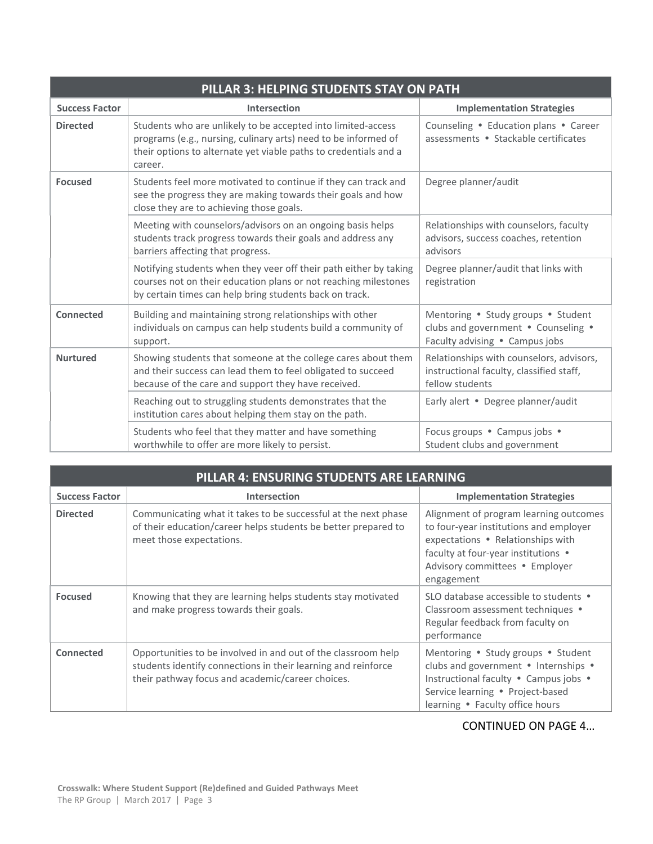| PILLAR 3: HELPING STUDENTS STAY ON PATH |                                                                                                                                                                                                               |                                                                                                             |  |  |
|-----------------------------------------|---------------------------------------------------------------------------------------------------------------------------------------------------------------------------------------------------------------|-------------------------------------------------------------------------------------------------------------|--|--|
| <b>Success Factor</b>                   | Intersection                                                                                                                                                                                                  | <b>Implementation Strategies</b>                                                                            |  |  |
| <b>Directed</b>                         | Students who are unlikely to be accepted into limited-access<br>programs (e.g., nursing, culinary arts) need to be informed of<br>their options to alternate yet viable paths to credentials and a<br>career. | Counseling . Education plans . Career<br>assessments • Stackable certificates                               |  |  |
| <b>Focused</b>                          | Students feel more motivated to continue if they can track and<br>see the progress they are making towards their goals and how<br>close they are to achieving those goals.                                    | Degree planner/audit                                                                                        |  |  |
|                                         | Meeting with counselors/advisors on an ongoing basis helps<br>students track progress towards their goals and address any<br>barriers affecting that progress.                                                | Relationships with counselors, faculty<br>advisors, success coaches, retention<br>advisors                  |  |  |
|                                         | Notifying students when they veer off their path either by taking<br>courses not on their education plans or not reaching milestones<br>by certain times can help bring students back on track.               | Degree planner/audit that links with<br>registration                                                        |  |  |
| Connected                               | Building and maintaining strong relationships with other<br>individuals on campus can help students build a community of<br>support.                                                                          | Mentoring . Study groups . Student<br>clubs and government . Counseling .<br>Faculty advising • Campus jobs |  |  |
| <b>Nurtured</b>                         | Showing students that someone at the college cares about them<br>and their success can lead them to feel obligated to succeed<br>because of the care and support they have received.                          | Relationships with counselors, advisors,<br>instructional faculty, classified staff,<br>fellow students     |  |  |
|                                         | Reaching out to struggling students demonstrates that the<br>institution cares about helping them stay on the path.                                                                                           | Early alert . Degree planner/audit                                                                          |  |  |
|                                         | Students who feel that they matter and have something<br>worthwhile to offer are more likely to persist.                                                                                                      | Focus groups . Campus jobs .<br>Student clubs and government                                                |  |  |

| PILLAR 4: ENSURING STUDENTS ARE LEARNING |                                                                                                                                                                                    |                                                                                                                                                                                                              |  |
|------------------------------------------|------------------------------------------------------------------------------------------------------------------------------------------------------------------------------------|--------------------------------------------------------------------------------------------------------------------------------------------------------------------------------------------------------------|--|
| <b>Success Factor</b>                    | Intersection                                                                                                                                                                       | <b>Implementation Strategies</b>                                                                                                                                                                             |  |
| <b>Directed</b>                          | Communicating what it takes to be successful at the next phase<br>of their education/career helps students be better prepared to<br>meet those expectations.                       | Alignment of program learning outcomes<br>to four-year institutions and employer<br>expectations • Relationships with<br>faculty at four-year institutions .<br>Advisory committees . Employer<br>engagement |  |
| <b>Focused</b>                           | Knowing that they are learning helps students stay motivated<br>and make progress towards their goals.                                                                             | SLO database accessible to students •<br>Classroom assessment techniques •<br>Regular feedback from faculty on<br>performance                                                                                |  |
| Connected                                | Opportunities to be involved in and out of the classroom help<br>students identify connections in their learning and reinforce<br>their pathway focus and academic/career choices. | Mentoring . Study groups . Student<br>clubs and government . Internships .<br>Instructional faculty . Campus jobs .<br>Service learning . Project-based<br>learning • Faculty office hours                   |  |

#### CONTINUED ON PAGE 4…